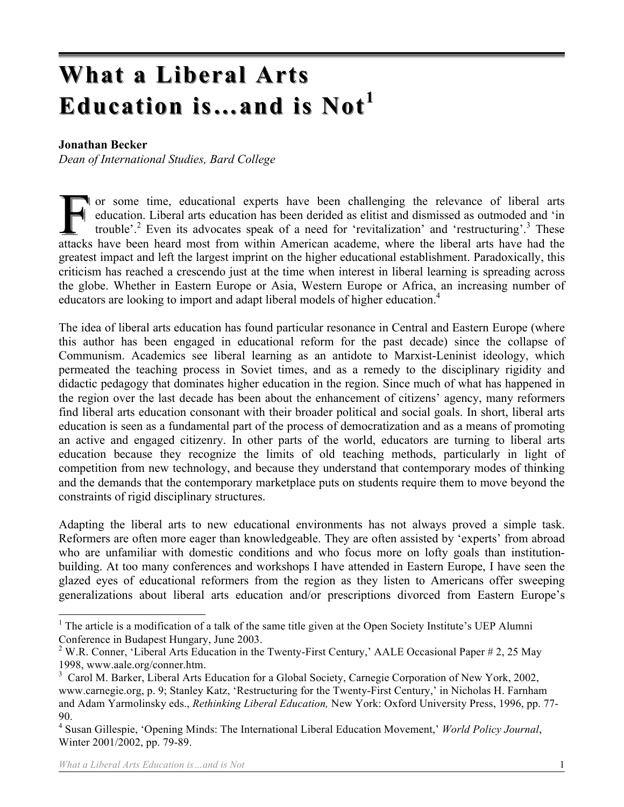# **What a Liberal Arts What a Liberal Arts** Education is...and is Not<sup>1</sup>

#### **Jonathan Becker**

*Dean of International Studies, Bard College*

or some time, educational experts have been challenging the relevance of liberal arts education. Liberal arts education has been derided as elitist and dismissed as outmoded and 'in trouble'.<sup>2</sup> Even its advocates speak of a need for 'revitalization' and 'restructuring'.<sup>3</sup> These attacks have been heard most from within American academe, where the liberal arts have had the greatest impact and left the largest imprint on the higher educational establishment. Paradoxically, this criticism has reached a crescendo just at the time when interest in liberal learning is spreading across the globe. Whether in Eastern Europe or Asia, Western Europe or Africa, an increasing number of educators are looking to import and adapt liberal models of higher education.<sup>4</sup> F

The idea of liberal arts education has found particular resonance in Central and Eastern Europe (where this author has been engaged in educational reform for the past decade) since the collapse of Communism. Academics see liberal learning as an antidote to Marxist-Leninist ideology, which permeated the teaching process in Soviet times, and as a remedy to the disciplinary rigidity and didactic pedagogy that dominates higher education in the region. Since much of what has happened in the region over the last decade has been about the enhancement of citizens' agency, many reformers find liberal arts education consonant with their broader political and social goals. In short, liberal arts education is seen as a fundamental part of the process of democratization and as a means of promoting an active and engaged citizenry. In other parts of the world, educators are turning to liberal arts education because they recognize the limits of old teaching methods, particularly in light of competition from new technology, and because they understand that contemporary modes of thinking and the demands that the contemporary marketplace puts on students require them to move beyond the constraints of rigid disciplinary structures.

Adapting the liberal arts to new educational environments has not always proved a simple task. Reformers are often more eager than knowledgeable. They are often assisted by 'experts' from abroad who are unfamiliar with domestic conditions and who focus more on lofty goals than institutionbuilding. At too many conferences and workshops I have attended in Eastern Europe, I have seen the glazed eyes of educational reformers from the region as they listen to Americans offer sweeping generalizations about liberal arts education and/or prescriptions divorced from Eastern Europe's

<sup>&</sup>lt;sup>1</sup> The article is a modification of a talk of the same title given at the Open Society Institute's UEP Alumni Conference in Budapest Hungary, June 2003.

<sup>&</sup>lt;sup>2</sup> W.R. Conner, 'Liberal Arts Education in the Twenty-First Century,' AALE Occasional Paper # 2, 25 May 1998, www.aale.org/conner.htm.

<sup>&</sup>lt;sup>3</sup> Carol M. Barker, Liberal Arts Education for a Global Society, Carnegie Corporation of New York, 2002, www.carnegie.org, p. 9; Stanley Katz, 'Restructuring for the Twenty-First Century,' in Nicholas H. Farnham and Adam Yarmolinsky eds., *Rethinking Liberal Education,* New York: Oxford University Press, 1996, pp. 77- 90.

<sup>4</sup> Susan Gillespie, 'Opening Minds: The International Liberal Education Movement,' *World Policy Journal*, Winter 2001/2002, pp. 79-89.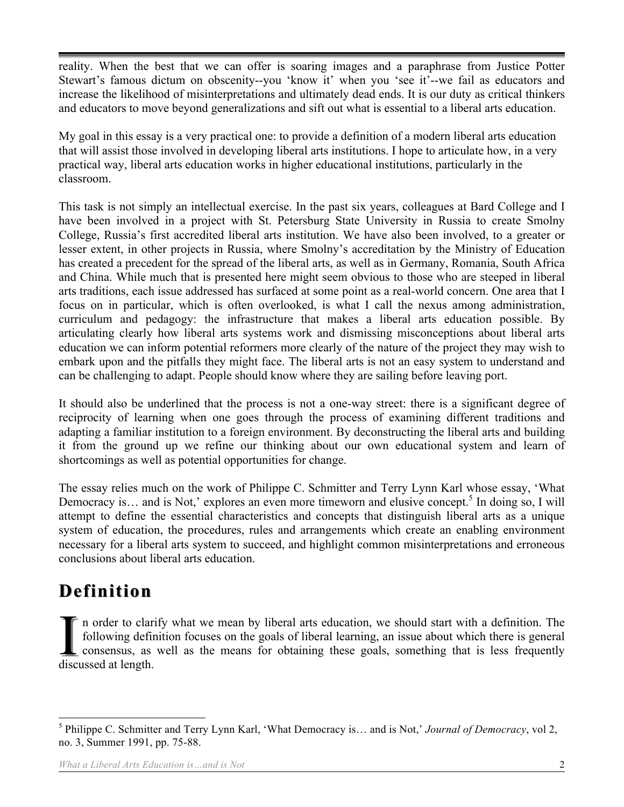reality. When the best that we can offer is soaring images and a paraphrase from Justice Potter Stewart's famous dictum on obscenity--you 'know it' when you 'see it'--we fail as educators and increase the likelihood of misinterpretations and ultimately dead ends. It is our duty as critical thinkers and educators to move beyond generalizations and sift out what is essential to a liberal arts education.

My goal in this essay is a very practical one: to provide a definition of a modern liberal arts education that will assist those involved in developing liberal arts institutions. I hope to articulate how, in a very practical way, liberal arts education works in higher educational institutions, particularly in the classroom.

This task is not simply an intellectual exercise. In the past six years, colleagues at Bard College and I have been involved in a project with St. Petersburg State University in Russia to create Smolny College, Russia's first accredited liberal arts institution. We have also been involved, to a greater or lesser extent, in other projects in Russia, where Smolny's accreditation by the Ministry of Education has created a precedent for the spread of the liberal arts, as well as in Germany, Romania, South Africa and China. While much that is presented here might seem obvious to those who are steeped in liberal arts traditions, each issue addressed has surfaced at some point as a real-world concern. One area that I focus on in particular, which is often overlooked, is what I call the nexus among administration, curriculum and pedagogy: the infrastructure that makes a liberal arts education possible. By articulating clearly how liberal arts systems work and dismissing misconceptions about liberal arts education we can inform potential reformers more clearly of the nature of the project they may wish to embark upon and the pitfalls they might face. The liberal arts is not an easy system to understand and can be challenging to adapt. People should know where they are sailing before leaving port.

It should also be underlined that the process is not a one-way street: there is a significant degree of reciprocity of learning when one goes through the process of examining different traditions and adapting a familiar institution to a foreign environment. By deconstructing the liberal arts and building it from the ground up we refine our thinking about our own educational system and learn of shortcomings as well as potential opportunities for change.

The essay relies much on the work of Philippe C. Schmitter and Terry Lynn Karl whose essay, 'What Democracy is... and is Not,' explores an even more timeworn and elusive concept.<sup>5</sup> In doing so, I will attempt to define the essential characteristics and concepts that distinguish liberal arts as a unique system of education, the procedures, rules and arrangements which create an enabling environment necessary for a liberal arts system to succeed, and highlight common misinterpretations and erroneous conclusions about liberal arts education.

### **Definition Definition**

 $\bar{\tau}$  n order to clarify what we mean by liberal arts education, we should start with a definition. The following definition focuses on the goals of liberal learning, an issue about which there is general consensus, as well as the means for obtaining these goals, something that is less frequently I n order to clari<br>following defin<br>consensus, as<br>discussed at length.

 <sup>5</sup> Philippe C. Schmitter and Terry Lynn Karl, 'What Democracy is… and is Not,' *Journal of Democracy*, vol 2, no. 3, Summer 1991, pp. 75-88.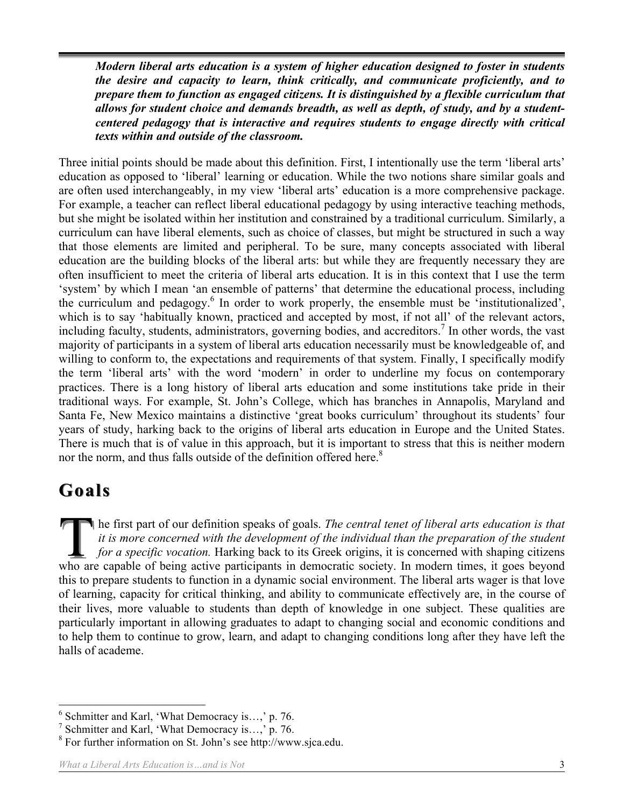*Modern liberal arts education is a system of higher education designed to foster in students the desire and capacity to learn, think critically, and communicate proficiently, and to prepare them to function as engaged citizens. It is distinguished by a flexible curriculum that allows for student choice and demands breadth, as well as depth, of study, and by a studentcentered pedagogy that is interactive and requires students to engage directly with critical texts within and outside of the classroom.*

Three initial points should be made about this definition. First, I intentionally use the term 'liberal arts' education as opposed to 'liberal' learning or education. While the two notions share similar goals and are often used interchangeably, in my view 'liberal arts' education is a more comprehensive package. For example, a teacher can reflect liberal educational pedagogy by using interactive teaching methods, but she might be isolated within her institution and constrained by a traditional curriculum. Similarly, a curriculum can have liberal elements, such as choice of classes, but might be structured in such a way that those elements are limited and peripheral. To be sure, many concepts associated with liberal education are the building blocks of the liberal arts: but while they are frequently necessary they are often insufficient to meet the criteria of liberal arts education. It is in this context that I use the term 'system' by which I mean 'an ensemble of patterns' that determine the educational process, including the curriculum and pedagogy.<sup>6</sup> In order to work properly, the ensemble must be 'institutionalized', which is to say 'habitually known, practiced and accepted by most, if not all' of the relevant actors, including faculty, students, administrators, governing bodies, and accreditors.<sup>7</sup> In other words, the vast majority of participants in a system of liberal arts education necessarily must be knowledgeable of, and willing to conform to, the expectations and requirements of that system. Finally, I specifically modify the term 'liberal arts' with the word 'modern' in order to underline my focus on contemporary practices. There is a long history of liberal arts education and some institutions take pride in their traditional ways. For example, St. John's College, which has branches in Annapolis, Maryland and Santa Fe, New Mexico maintains a distinctive 'great books curriculum' throughout its students' four years of study, harking back to the origins of liberal arts education in Europe and the United States. There is much that is of value in this approach, but it is important to stress that this is neither modern nor the norm, and thus falls outside of the definition offered here.<sup>8</sup>

### **Goals**

he first part of our definition speaks of goals. *The central tenet of liberal arts education is that it is more concerned with the development of the individual than the preparation of the student for a specific vocation.* Harking back to its Greek origins, it is concerned with shaping citizens The first part of our definition speaks of goals. The central tenet of liberal arts education is that<br>it is more concerned with the development of the individual than the preparation of the student<br>for a specific vocation. this to prepare students to function in a dynamic social environment. The liberal arts wager is that love of learning, capacity for critical thinking, and ability to communicate effectively are, in the course of their lives, more valuable to students than depth of knowledge in one subject. These qualities are particularly important in allowing graduates to adapt to changing social and economic conditions and to help them to continue to grow, learn, and adapt to changing conditions long after they have left the halls of academe.

 <sup>6</sup> Schmitter and Karl, 'What Democracy is…,' p. 76.

<sup>&</sup>lt;sup>7</sup> Schmitter and Karl, 'What Democracy is...,' p. 76.

<sup>8</sup> For further information on St. John's see http://www.sjca.edu.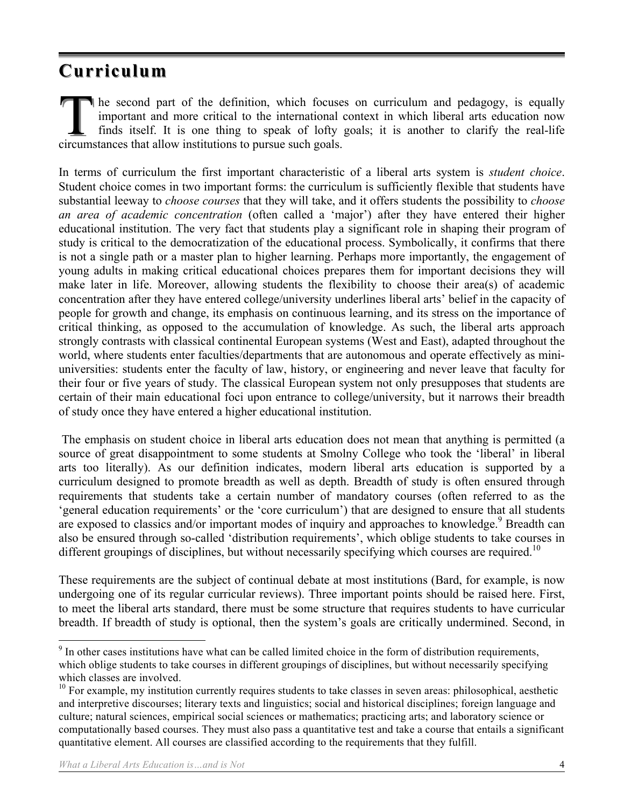### **Curriculum Curriculum**

he second part of the definition, which focuses on curriculum and pedagogy, is equally important and more critical to the international context in which liberal arts education now finds itself. It is one thing to speak of lofty goals; it is another to clarify the real-life The second part of the definition, which focuses<br>
important and more critical to the international c<br>
finds itself. It is one thing to speak of lofty<br>
circumstances that allow institutions to pursue such goals.

In terms of curriculum the first important characteristic of a liberal arts system is *student choice*. Student choice comes in two important forms: the curriculum is sufficiently flexible that students have substantial leeway to *choose courses* that they will take, and it offers students the possibility to *choose an area of academic concentration* (often called a 'major') after they have entered their higher educational institution. The very fact that students play a significant role in shaping their program of study is critical to the democratization of the educational process. Symbolically, it confirms that there is not a single path or a master plan to higher learning. Perhaps more importantly, the engagement of young adults in making critical educational choices prepares them for important decisions they will make later in life. Moreover, allowing students the flexibility to choose their area(s) of academic concentration after they have entered college/university underlines liberal arts' belief in the capacity of people for growth and change, its emphasis on continuous learning, and its stress on the importance of critical thinking, as opposed to the accumulation of knowledge. As such, the liberal arts approach strongly contrasts with classical continental European systems (West and East), adapted throughout the world, where students enter faculties/departments that are autonomous and operate effectively as miniuniversities: students enter the faculty of law, history, or engineering and never leave that faculty for their four or five years of study. The classical European system not only presupposes that students are certain of their main educational foci upon entrance to college/university, but it narrows their breadth of study once they have entered a higher educational institution.

 The emphasis on student choice in liberal arts education does not mean that anything is permitted (a source of great disappointment to some students at Smolny College who took the 'liberal' in liberal arts too literally). As our definition indicates, modern liberal arts education is supported by a curriculum designed to promote breadth as well as depth. Breadth of study is often ensured through requirements that students take a certain number of mandatory courses (often referred to as the 'general education requirements' or the 'core curriculum') that are designed to ensure that all students are exposed to classics and/or important modes of inquiry and approaches to knowledge.<sup>9</sup> Breadth can also be ensured through so-called 'distribution requirements', which oblige students to take courses in different groupings of disciplines, but without necessarily specifying which courses are required.<sup>10</sup>

These requirements are the subject of continual debate at most institutions (Bard, for example, is now undergoing one of its regular curricular reviews). Three important points should be raised here. First, to meet the liberal arts standard, there must be some structure that requires students to have curricular breadth. If breadth of study is optional, then the system's goals are critically undermined. Second, in

<sup>&</sup>lt;sup>9</sup> In other cases institutions have what can be called limited choice in the form of distribution requirements, which oblige students to take courses in different groupings of disciplines, but without necessarily specifying which classes are involved.

 $10$  For example, my institution currently requires students to take classes in seven areas: philosophical, aesthetic and interpretive discourses; literary texts and linguistics; social and historical disciplines; foreign language and culture; natural sciences, empirical social sciences or mathematics; practicing arts; and laboratory science or computationally based courses. They must also pass a quantitative test and take a course that entails a significant quantitative element. All courses are classified according to the requirements that they fulfill.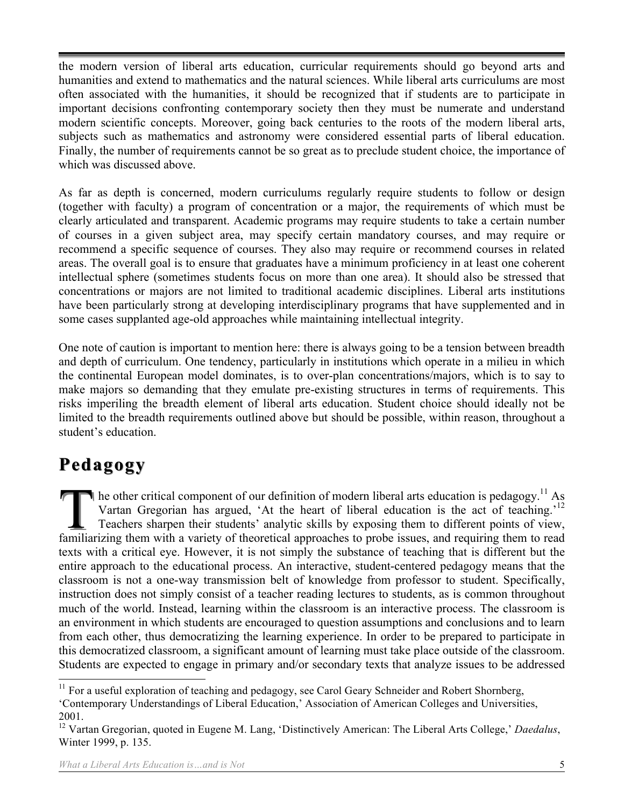the modern version of liberal arts education, curricular requirements should go beyond arts and humanities and extend to mathematics and the natural sciences. While liberal arts curriculums are most often associated with the humanities, it should be recognized that if students are to participate in important decisions confronting contemporary society then they must be numerate and understand modern scientific concepts. Moreover, going back centuries to the roots of the modern liberal arts, subjects such as mathematics and astronomy were considered essential parts of liberal education. Finally, the number of requirements cannot be so great as to preclude student choice, the importance of which was discussed above.

As far as depth is concerned, modern curriculums regularly require students to follow or design (together with faculty) a program of concentration or a major, the requirements of which must be clearly articulated and transparent. Academic programs may require students to take a certain number of courses in a given subject area, may specify certain mandatory courses, and may require or recommend a specific sequence of courses. They also may require or recommend courses in related areas. The overall goal is to ensure that graduates have a minimum proficiency in at least one coherent intellectual sphere (sometimes students focus on more than one area). It should also be stressed that concentrations or majors are not limited to traditional academic disciplines. Liberal arts institutions have been particularly strong at developing interdisciplinary programs that have supplemented and in some cases supplanted age-old approaches while maintaining intellectual integrity.

One note of caution is important to mention here: there is always going to be a tension between breadth and depth of curriculum. One tendency, particularly in institutions which operate in a milieu in which the continental European model dominates, is to over-plan concentrations/majors, which is to say to make majors so demanding that they emulate pre-existing structures in terms of requirements. This risks imperiling the breadth element of liberal arts education. Student choice should ideally not be limited to the breadth requirements outlined above but should be possible, within reason, throughout a student's education.

### **Pedagogy Pedagogy**

 $\blacksquare$  he other critical component of our definition of modern liberal arts education is pedagogy.<sup>11</sup> As Vartan Gregorian has argued, 'At the heart of liberal education is the act of teaching.'<sup>12</sup> Teachers sharpen their students' analytic skills by exposing them to different points of view, The other critical component of our definition of modern liberal arts education is pedagogy.<sup>11</sup> As<br>Vartan Gregorian has argued, 'At the heart of liberal education is the act of teaching.<sup>12</sup><br>Teachers sharpen their student texts with a critical eye. However, it is not simply the substance of teaching that is different but the entire approach to the educational process. An interactive, student-centered pedagogy means that the classroom is not a one-way transmission belt of knowledge from professor to student. Specifically, instruction does not simply consist of a teacher reading lectures to students, as is common throughout much of the world. Instead, learning within the classroom is an interactive process. The classroom is an environment in which students are encouraged to question assumptions and conclusions and to learn from each other, thus democratizing the learning experience. In order to be prepared to participate in this democratized classroom, a significant amount of learning must take place outside of the classroom. Students are expected to engage in primary and/or secondary texts that analyze issues to be addressed

 $11$  For a useful exploration of teaching and pedagogy, see Carol Geary Schneider and Robert Shornberg,

<sup>&#</sup>x27;Contemporary Understandings of Liberal Education,' Association of American Colleges and Universities, 2001.

<sup>12</sup> Vartan Gregorian, quoted in Eugene M. Lang, 'Distinctively American: The Liberal Arts College,' *Daedalus*, Winter 1999, p. 135.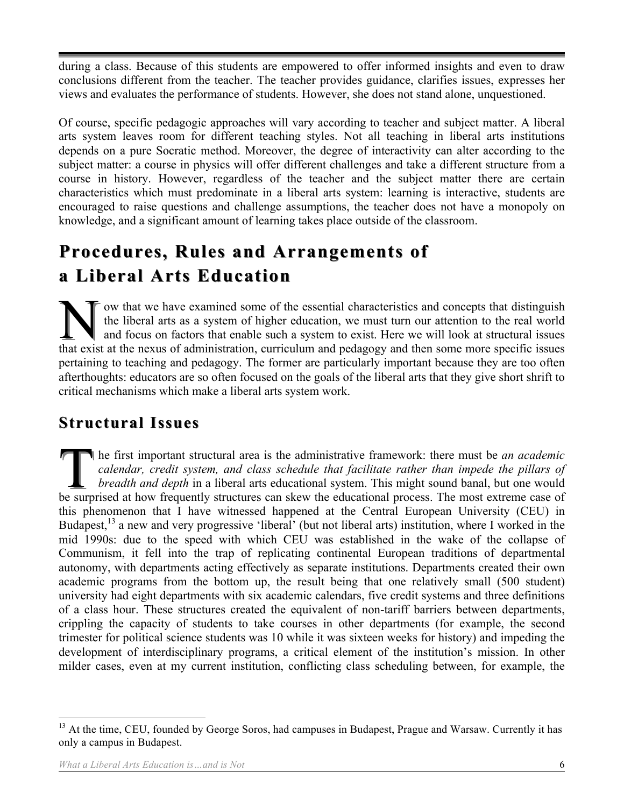during a class. Because of this students are empowered to offer informed insights and even to draw conclusions different from the teacher. The teacher provides guidance, clarifies issues, expresses her views and evaluates the performance of students. However, she does not stand alone, unquestioned.

Of course, specific pedagogic approaches will vary according to teacher and subject matter. A liberal arts system leaves room for different teaching styles. Not all teaching in liberal arts institutions depends on a pure Socratic method. Moreover, the degree of interactivity can alter according to the subject matter: a course in physics will offer different challenges and take a different structure from a course in history. However, regardless of the teacher and the subject matter there are certain characteristics which must predominate in a liberal arts system: learning is interactive, students are encouraged to raise questions and challenge assumptions, the teacher does not have a monopoly on knowledge, and a significant amount of learning takes place outside of the classroom.

## **Procedures, Rules and Arrangements of Procedures, Rules and Arrangements of a Liberal Arts Education a Liberal Arts Education**

 $\bar{\tau}$  ow that we have examined some of the essential characteristics and concepts that distinguish the liberal arts as a system of higher education, we must turn our attention to the real world and focus on factors that enable such a system to exist. Here we will look at structural issues The liberal arts as a system of higher education, we must turn our attention to the real world and focus on factors that enable such a system to exist. Here we will look at structural issues that exist at the nexus of admi pertaining to teaching and pedagogy. The former are particularly important because they are too often afterthoughts: educators are so often focused on the goals of the liberal arts that they give short shrift to critical mechanisms which make a liberal arts system work.

#### **Structural Issues Structural Issues**

he first important structural area is the administrative framework: there must be *an academic calendar, credit system, and class schedule that facilitate rather than impede the pillars of breadth and depth* in a liberal arts educational system. This might sound banal, but one would The first important structural area is the administrative framework: there must be *an academic calendar, credit system, and class schedule that facilitate rather than impede the pillars of breadth and depth in a liberal a* this phenomenon that I have witnessed happened at the Central European University (CEU) in Budapest,<sup>13</sup> a new and very progressive 'liberal' (but not liberal arts) institution, where I worked in the mid 1990s: due to the speed with which CEU was established in the wake of the collapse of Communism, it fell into the trap of replicating continental European traditions of departmental autonomy, with departments acting effectively as separate institutions. Departments created their own academic programs from the bottom up, the result being that one relatively small (500 student) university had eight departments with six academic calendars, five credit systems and three definitions of a class hour. These structures created the equivalent of non-tariff barriers between departments, crippling the capacity of students to take courses in other departments (for example, the second trimester for political science students was 10 while it was sixteen weeks for history) and impeding the development of interdisciplinary programs, a critical element of the institution's mission. In other milder cases, even at my current institution, conflicting class scheduling between, for example, the

 $13$  At the time, CEU, founded by George Soros, had campuses in Budapest, Prague and Warsaw. Currently it has only a campus in Budapest.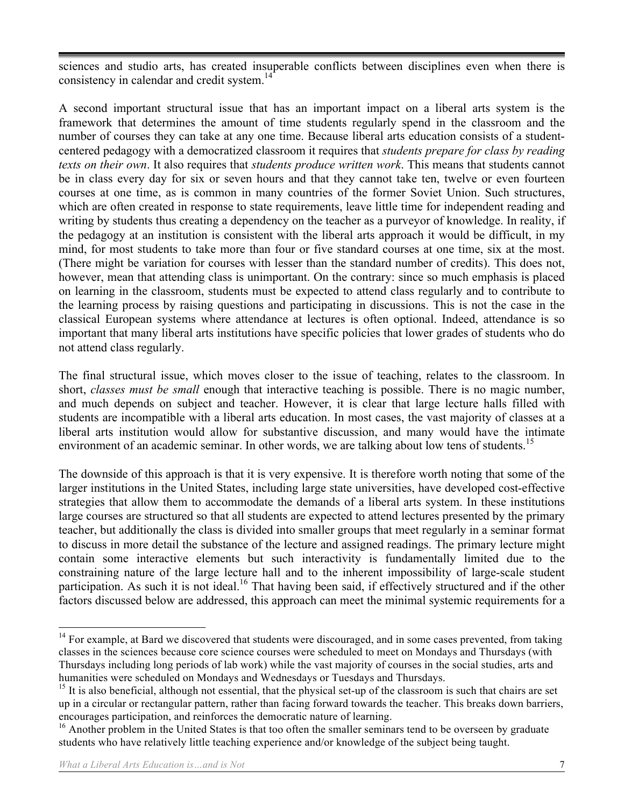sciences and studio arts, has created insuperable conflicts between disciplines even when there is consistency in calendar and credit system. $14$ 

A second important structural issue that has an important impact on a liberal arts system is the framework that determines the amount of time students regularly spend in the classroom and the number of courses they can take at any one time. Because liberal arts education consists of a studentcentered pedagogy with a democratized classroom it requires that *students prepare for class by reading texts on their own*. It also requires that *students produce written work*. This means that students cannot be in class every day for six or seven hours and that they cannot take ten, twelve or even fourteen courses at one time, as is common in many countries of the former Soviet Union. Such structures, which are often created in response to state requirements, leave little time for independent reading and writing by students thus creating a dependency on the teacher as a purveyor of knowledge. In reality, if the pedagogy at an institution is consistent with the liberal arts approach it would be difficult, in my mind, for most students to take more than four or five standard courses at one time, six at the most. (There might be variation for courses with lesser than the standard number of credits). This does not, however, mean that attending class is unimportant. On the contrary: since so much emphasis is placed on learning in the classroom, students must be expected to attend class regularly and to contribute to the learning process by raising questions and participating in discussions. This is not the case in the classical European systems where attendance at lectures is often optional. Indeed, attendance is so important that many liberal arts institutions have specific policies that lower grades of students who do not attend class regularly.

The final structural issue, which moves closer to the issue of teaching, relates to the classroom. In short, *classes must be small* enough that interactive teaching is possible. There is no magic number, and much depends on subject and teacher. However, it is clear that large lecture halls filled with students are incompatible with a liberal arts education. In most cases, the vast majority of classes at a liberal arts institution would allow for substantive discussion, and many would have the intimate environment of an academic seminar. In other words, we are talking about low tens of students.<sup>15</sup>

The downside of this approach is that it is very expensive. It is therefore worth noting that some of the larger institutions in the United States, including large state universities, have developed cost-effective strategies that allow them to accommodate the demands of a liberal arts system. In these institutions large courses are structured so that all students are expected to attend lectures presented by the primary teacher, but additionally the class is divided into smaller groups that meet regularly in a seminar format to discuss in more detail the substance of the lecture and assigned readings. The primary lecture might contain some interactive elements but such interactivity is fundamentally limited due to the constraining nature of the large lecture hall and to the inherent impossibility of large-scale student participation. As such it is not ideal.<sup>16</sup> That having been said, if effectively structured and if the other factors discussed below are addressed, this approach can meet the minimal systemic requirements for a

<sup>&</sup>lt;sup>14</sup> For example, at Bard we discovered that students were discouraged, and in some cases prevented, from taking classes in the sciences because core science courses were scheduled to meet on Mondays and Thursdays (with Thursdays including long periods of lab work) while the vast majority of courses in the social studies, arts and humanities were scheduled on Mondays and Wednesdays or Tuesdays and Thursdays.

<sup>&</sup>lt;sup>15</sup> It is also beneficial, although not essential, that the physical set-up of the classroom is such that chairs are set up in a circular or rectangular pattern, rather than facing forward towards the teacher. This breaks down barriers, encourages participation, and reinforces the democratic nature of learning.

<sup>&</sup>lt;sup>16</sup> Another problem in the United States is that too often the smaller seminars tend to be overseen by graduate students who have relatively little teaching experience and/or knowledge of the subject being taught.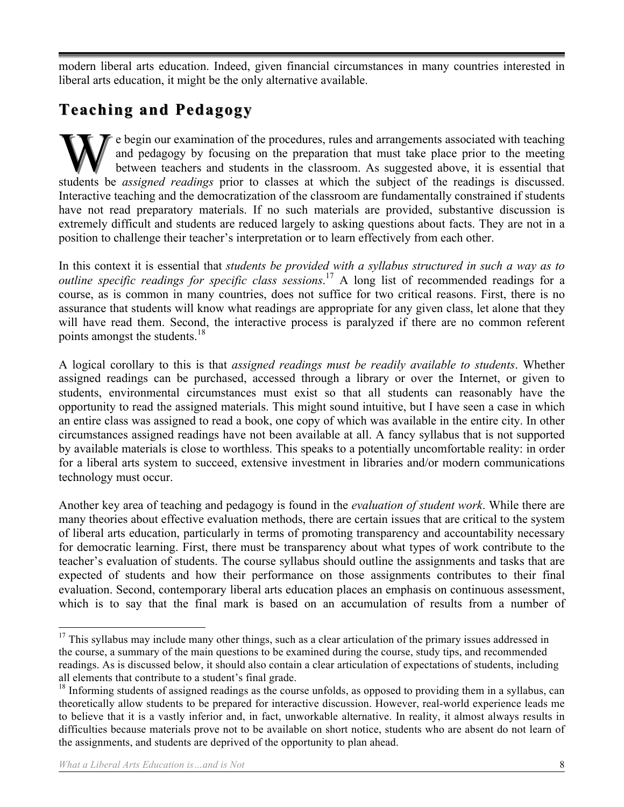modern liberal arts education. Indeed, given financial circumstances in many countries interested in liberal arts education, it might be the only alternative available.

### **Teaching and Pedagogy Teaching and Pedagogy**

e begin our examination of the procedures, rules and arrangements associated with teaching and pedagogy by focusing on the preparation that must take place prior to the meeting between teachers and students in the classroom. As suggested above, it is essential that students be *assigned readings* prior to classes at which the subject of the readings is discussed. Interactive teaching and the democratization of the classroom are fundamentally constrained if students have not read preparatory materials. If no such materials are provided, substantive discussion is extremely difficult and students are reduced largely to asking questions about facts. They are not in a position to challenge their teacher's interpretation or to learn effectively from each other.

In this context it is essential that *students be provided with a syllabus structured in such a way as to outline specific readings for specific class sessions*. 17 A long list of recommended readings for a course, as is common in many countries, does not suffice for two critical reasons. First, there is no assurance that students will know what readings are appropriate for any given class, let alone that they will have read them. Second, the interactive process is paralyzed if there are no common referent points amongst the students.<sup>18</sup>

A logical corollary to this is that *assigned readings must be readily available to students*. Whether assigned readings can be purchased, accessed through a library or over the Internet, or given to students, environmental circumstances must exist so that all students can reasonably have the opportunity to read the assigned materials. This might sound intuitive, but I have seen a case in which an entire class was assigned to read a book, one copy of which was available in the entire city. In other circumstances assigned readings have not been available at all. A fancy syllabus that is not supported by available materials is close to worthless. This speaks to a potentially uncomfortable reality: in order for a liberal arts system to succeed, extensive investment in libraries and/or modern communications technology must occur.

Another key area of teaching and pedagogy is found in the *evaluation of student work*. While there are many theories about effective evaluation methods, there are certain issues that are critical to the system of liberal arts education, particularly in terms of promoting transparency and accountability necessary for democratic learning. First, there must be transparency about what types of work contribute to the teacher's evaluation of students. The course syllabus should outline the assignments and tasks that are expected of students and how their performance on those assignments contributes to their final evaluation. Second, contemporary liberal arts education places an emphasis on continuous assessment, which is to say that the final mark is based on an accumulation of results from a number of

 $17$  This syllabus may include many other things, such as a clear articulation of the primary issues addressed in the course, a summary of the main questions to be examined during the course, study tips, and recommended readings. As is discussed below, it should also contain a clear articulation of expectations of students, including all elements that contribute to a student's final grade.

 $18$  Informing students of assigned readings as the course unfolds, as opposed to providing them in a syllabus, can theoretically allow students to be prepared for interactive discussion. However, real-world experience leads me to believe that it is a vastly inferior and, in fact, unworkable alternative. In reality, it almost always results in difficulties because materials prove not to be available on short notice, students who are absent do not learn of the assignments, and students are deprived of the opportunity to plan ahead.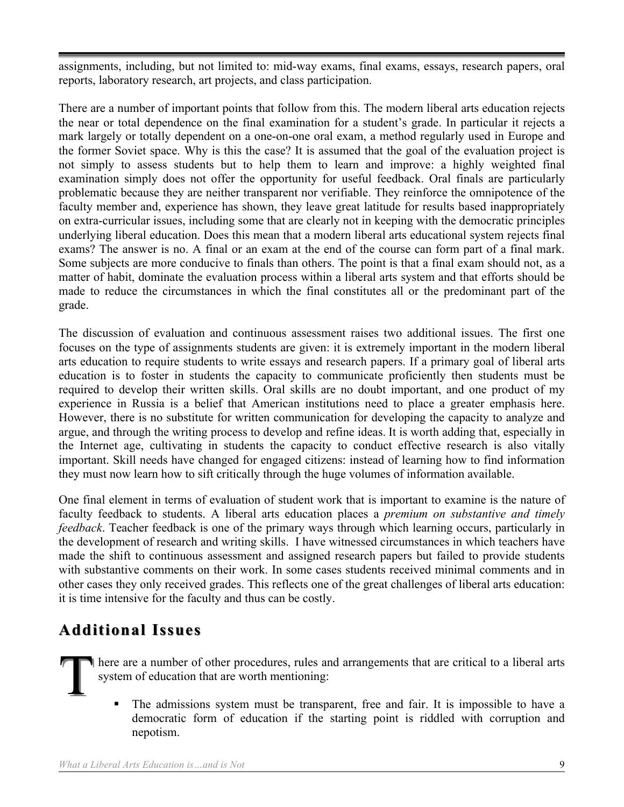assignments, including, but not limited to: mid-way exams, final exams, essays, research papers, oral reports, laboratory research, art projects, and class participation.

There are a number of important points that follow from this. The modern liberal arts education rejects the near or total dependence on the final examination for a student's grade. In particular it rejects a mark largely or totally dependent on a one-on-one oral exam, a method regularly used in Europe and the former Soviet space. Why is this the case? It is assumed that the goal of the evaluation project is not simply to assess students but to help them to learn and improve: a highly weighted final examination simply does not offer the opportunity for useful feedback. Oral finals are particularly problematic because they are neither transparent nor verifiable. They reinforce the omnipotence of the faculty member and, experience has shown, they leave great latitude for results based inappropriately on extra-curricular issues, including some that are clearly not in keeping with the democratic principles underlying liberal education. Does this mean that a modern liberal arts educational system rejects final exams? The answer is no. A final or an exam at the end of the course can form part of a final mark. Some subjects are more conducive to finals than others. The point is that a final exam should not, as a matter of habit, dominate the evaluation process within a liberal arts system and that efforts should be made to reduce the circumstances in which the final constitutes all or the predominant part of the grade.

The discussion of evaluation and continuous assessment raises two additional issues. The first one focuses on the type of assignments students are given: it is extremely important in the modern liberal arts education to require students to write essays and research papers. If a primary goal of liberal arts education is to foster in students the capacity to communicate proficiently then students must be required to develop their written skills. Oral skills are no doubt important, and one product of my experience in Russia is a belief that American institutions need to place a greater emphasis here. However, there is no substitute for written communication for developing the capacity to analyze and argue, and through the writing process to develop and refine ideas. It is worth adding that, especially in the Internet age, cultivating in students the capacity to conduct effective research is also vitally important. Skill needs have changed for engaged citizens: instead of learning how to find information they must now learn how to sift critically through the huge volumes of information available.

One final element in terms of evaluation of student work that is important to examine is the nature of faculty feedback to students. A liberal arts education places a *premium on substantive and timely feedback*. Teacher feedback is one of the primary ways through which learning occurs, particularly in the development of research and writing skills. I have witnessed circumstances in which teachers have made the shift to continuous assessment and assigned research papers but failed to provide students with substantive comments on their work. In some cases students received minimal comments and in other cases they only received grades. This reflects one of the great challenges of liberal arts education: it is time intensive for the faculty and thus can be costly.

#### **Additional Issues Additional Issues**

here are a number of other procedures, rules and arrangements that are critical to a liberal arts system of education that are worth mentioning: T

 The admissions system must be transparent, free and fair. It is impossible to have a democratic form of education if the starting point is riddled with corruption and nepotism.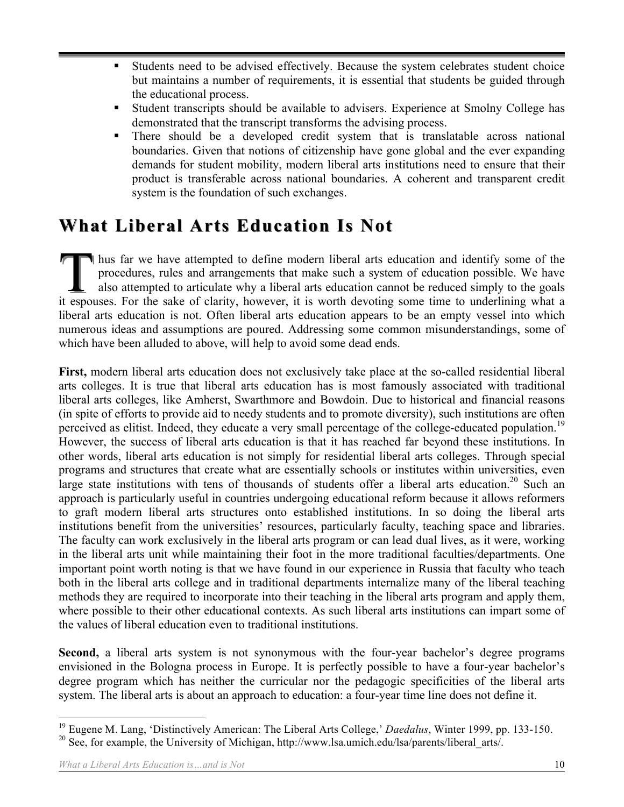- Students need to be advised effectively. Because the system celebrates student choice but maintains a number of requirements, it is essential that students be guided through the educational process.
- Student transcripts should be available to advisers. Experience at Smolny College has demonstrated that the transcript transforms the advising process.
- There should be a developed credit system that is translatable across national boundaries. Given that notions of citizenship have gone global and the ever expanding demands for student mobility, modern liberal arts institutions need to ensure that their product is transferable across national boundaries. A coherent and transparent credit system is the foundation of such exchanges.

### **What Liberal Arts Education Is Not What Arts Education Is**

hus far we have attempted to define modern liberal arts education and identify some of the procedures, rules and arrangements that make such a system of education possible. We have also attempted to articulate why a liberal arts education cannot be reduced simply to the goals I hus far we have attempted to define modern liberal arts education and identify some of the procedures, rules and arrangements that make such a system of education possible. We have also attempted to articulate why a libe liberal arts education is not. Often liberal arts education appears to be an empty vessel into which numerous ideas and assumptions are poured. Addressing some common misunderstandings, some of which have been alluded to above, will help to avoid some dead ends.

**First,** modern liberal arts education does not exclusively take place at the so-called residential liberal arts colleges. It is true that liberal arts education has is most famously associated with traditional liberal arts colleges, like Amherst, Swarthmore and Bowdoin. Due to historical and financial reasons (in spite of efforts to provide aid to needy students and to promote diversity), such institutions are often perceived as elitist. Indeed, they educate a very small percentage of the college-educated population.<sup>19</sup> However, the success of liberal arts education is that it has reached far beyond these institutions. In other words, liberal arts education is not simply for residential liberal arts colleges. Through special programs and structures that create what are essentially schools or institutes within universities, even large state institutions with tens of thousands of students offer a liberal arts education.<sup>20</sup> Such an approach is particularly useful in countries undergoing educational reform because it allows reformers to graft modern liberal arts structures onto established institutions. In so doing the liberal arts institutions benefit from the universities' resources, particularly faculty, teaching space and libraries. The faculty can work exclusively in the liberal arts program or can lead dual lives, as it were, working in the liberal arts unit while maintaining their foot in the more traditional faculties/departments. One important point worth noting is that we have found in our experience in Russia that faculty who teach both in the liberal arts college and in traditional departments internalize many of the liberal teaching methods they are required to incorporate into their teaching in the liberal arts program and apply them, where possible to their other educational contexts. As such liberal arts institutions can impart some of the values of liberal education even to traditional institutions.

**Second,** a liberal arts system is not synonymous with the four-year bachelor's degree programs envisioned in the Bologna process in Europe. It is perfectly possible to have a four-year bachelor's degree program which has neither the curricular nor the pedagogic specificities of the liberal arts system. The liberal arts is about an approach to education: a four-year time line does not define it.

 <sup>19</sup> Eugene M. Lang, 'Distinctively American: The Liberal Arts College,' *Daedalus*, Winter 1999, pp. 133-150. <sup>20</sup> See, for example, the University of Michigan, http://www.lsa.umich.edu/lsa/parents/liberal\_arts/.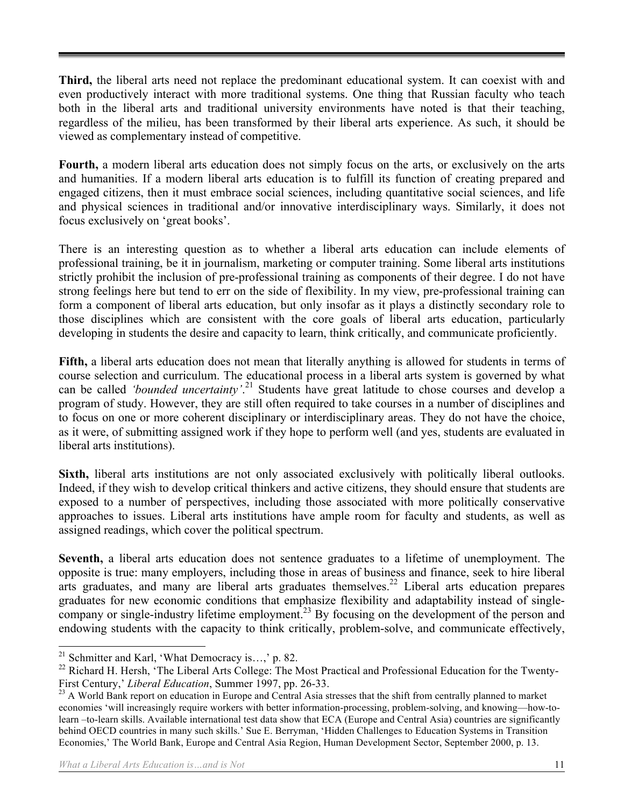**Third,** the liberal arts need not replace the predominant educational system. It can coexist with and even productively interact with more traditional systems. One thing that Russian faculty who teach both in the liberal arts and traditional university environments have noted is that their teaching, regardless of the milieu, has been transformed by their liberal arts experience. As such, it should be viewed as complementary instead of competitive.

**Fourth,** a modern liberal arts education does not simply focus on the arts, or exclusively on the arts and humanities. If a modern liberal arts education is to fulfill its function of creating prepared and engaged citizens, then it must embrace social sciences, including quantitative social sciences, and life and physical sciences in traditional and/or innovative interdisciplinary ways. Similarly, it does not focus exclusively on 'great books'.

There is an interesting question as to whether a liberal arts education can include elements of professional training, be it in journalism, marketing or computer training. Some liberal arts institutions strictly prohibit the inclusion of pre-professional training as components of their degree. I do not have strong feelings here but tend to err on the side of flexibility. In my view, pre-professional training can form a component of liberal arts education, but only insofar as it plays a distinctly secondary role to those disciplines which are consistent with the core goals of liberal arts education, particularly developing in students the desire and capacity to learn, think critically, and communicate proficiently.

**Fifth,** a liberal arts education does not mean that literally anything is allowed for students in terms of course selection and curriculum. The educational process in a liberal arts system is governed by what can be called *'bounded uncertainty'*. 21 Students have great latitude to chose courses and develop a program of study. However, they are still often required to take courses in a number of disciplines and to focus on one or more coherent disciplinary or interdisciplinary areas. They do not have the choice, as it were, of submitting assigned work if they hope to perform well (and yes, students are evaluated in liberal arts institutions).

**Sixth,** liberal arts institutions are not only associated exclusively with politically liberal outlooks. Indeed, if they wish to develop critical thinkers and active citizens, they should ensure that students are exposed to a number of perspectives, including those associated with more politically conservative approaches to issues. Liberal arts institutions have ample room for faculty and students, as well as assigned readings, which cover the political spectrum.

**Seventh,** a liberal arts education does not sentence graduates to a lifetime of unemployment. The opposite is true: many employers, including those in areas of business and finance, seek to hire liberal arts graduates, and many are liberal arts graduates themselves.<sup>22</sup> Liberal arts education prepares graduates for new economic conditions that emphasize flexibility and adaptability instead of singlecompany or single-industry lifetime employment.<sup>23</sup> By focusing on the development of the person and endowing students with the capacity to think critically, problem-solve, and communicate effectively,

<sup>&</sup>lt;sup>21</sup> Schmitter and Karl, 'What Democracy is...,' p. 82.

<sup>&</sup>lt;sup>22</sup> Richard H. Hersh, 'The Liberal Arts College: The Most Practical and Professional Education for the Twenty-First Century,' *Liberal Education*, Summer 1997, pp. 26-33.<br><sup>23</sup> A World Bank report on education in Europe and Central Asia stresses that the shift from centrally planned to market

economies 'will increasingly require workers with better information-processing, problem-solving, and knowing—how-tolearn –to-learn skills. Available international test data show that ECA (Europe and Central Asia) countries are significantly behind OECD countries in many such skills.' Sue E. Berryman, 'Hidden Challenges to Education Systems in Transition Economies,' The World Bank, Europe and Central Asia Region, Human Development Sector, September 2000, p. 13.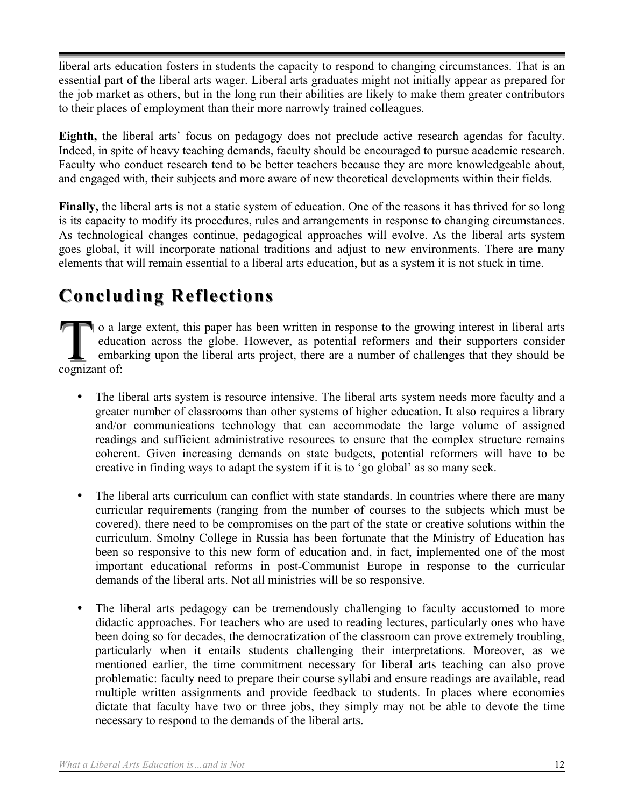liberal arts education fosters in students the capacity to respond to changing circumstances. That is an essential part of the liberal arts wager. Liberal arts graduates might not initially appear as prepared for the job market as others, but in the long run their abilities are likely to make them greater contributors to their places of employment than their more narrowly trained colleagues.

**Eighth,** the liberal arts' focus on pedagogy does not preclude active research agendas for faculty. Indeed, in spite of heavy teaching demands, faculty should be encouraged to pursue academic research. Faculty who conduct research tend to be better teachers because they are more knowledgeable about, and engaged with, their subjects and more aware of new theoretical developments within their fields.

**Finally,** the liberal arts is not a static system of education. One of the reasons it has thrived for so long is its capacity to modify its procedures, rules and arrangements in response to changing circumstances. As technological changes continue, pedagogical approaches will evolve. As the liberal arts system goes global, it will incorporate national traditions and adjust to new environments. There are many elements that will remain essential to a liberal arts education, but as a system it is not stuck in time.

## **Concluding Reflections Concluding**

o a large extent, this paper has been written in response to the growing interest in liberal arts education across the globe. However, as potential reformers and their supporters consider embarking upon the liberal arts project, there are a number of challenges that they should be o a la<br>
educa<br>
emba<br>
cognizant of:

- The liberal arts system is resource intensive. The liberal arts system needs more faculty and a greater number of classrooms than other systems of higher education. It also requires a library and/or communications technology that can accommodate the large volume of assigned readings and sufficient administrative resources to ensure that the complex structure remains coherent. Given increasing demands on state budgets, potential reformers will have to be creative in finding ways to adapt the system if it is to 'go global' as so many seek.
- The liberal arts curriculum can conflict with state standards. In countries where there are many curricular requirements (ranging from the number of courses to the subjects which must be covered), there need to be compromises on the part of the state or creative solutions within the curriculum. Smolny College in Russia has been fortunate that the Ministry of Education has been so responsive to this new form of education and, in fact, implemented one of the most important educational reforms in post-Communist Europe in response to the curricular demands of the liberal arts. Not all ministries will be so responsive.
- The liberal arts pedagogy can be tremendously challenging to faculty accustomed to more didactic approaches. For teachers who are used to reading lectures, particularly ones who have been doing so for decades, the democratization of the classroom can prove extremely troubling, particularly when it entails students challenging their interpretations. Moreover, as we mentioned earlier, the time commitment necessary for liberal arts teaching can also prove problematic: faculty need to prepare their course syllabi and ensure readings are available, read multiple written assignments and provide feedback to students. In places where economies dictate that faculty have two or three jobs, they simply may not be able to devote the time necessary to respond to the demands of the liberal arts.